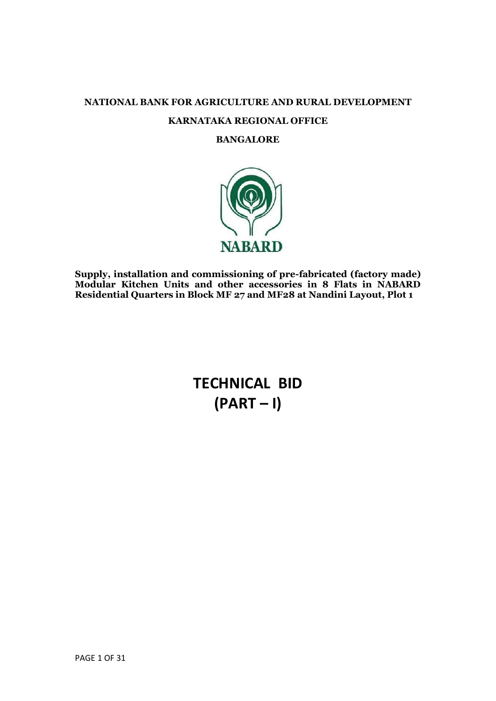# **NATIONAL BANK FOR AGRICULTURE AND RURAL DEVELOPMENT KARNATAKA REGIONAL OFFICE**

## **BANGALORE**



**Supply, installation and commissioning of pre-fabricated (factory made) Modular Kitchen Units and other accessories in 8 Flats in NABARD Residential Quarters in Block MF 27 and MF28 at Nandini Layout, Plot 1**

> **TECHNICAL BID (PART – I)**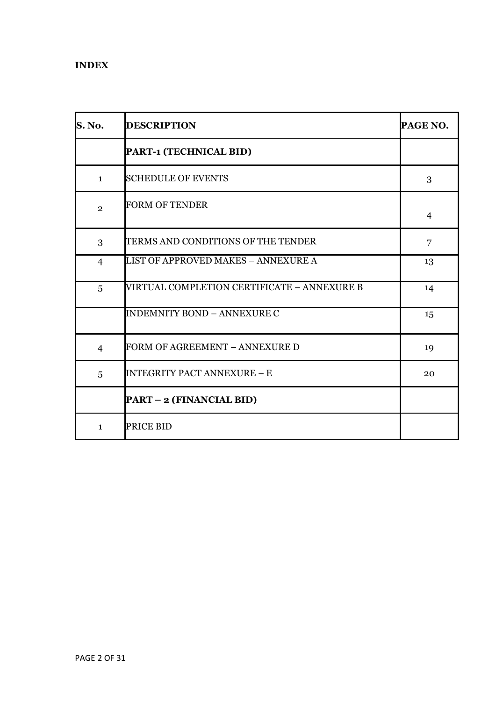## **INDEX**

| <b>S. No.</b>  | <b>DESCRIPTION</b>                          | PAGE NO.       |
|----------------|---------------------------------------------|----------------|
|                | PART-1 (TECHNICAL BID)                      |                |
| $\mathbf{1}$   | <b>SCHEDULE OF EVENTS</b>                   | 3              |
| $\overline{2}$ | <b>FORM OF TENDER</b>                       | $\overline{4}$ |
| 3              | TERMS AND CONDITIONS OF THE TENDER          | $\overline{7}$ |
| $\overline{4}$ | <b>LIST OF APPROVED MAKES - ANNEXURE A</b>  | 13             |
| 5              | VIRTUAL COMPLETION CERTIFICATE – ANNEXURE B | 14             |
|                | <b>INDEMNITY BOND - ANNEXURE C</b>          | 15             |
| $\overline{4}$ | FORM OF AGREEMENT - ANNEXURE D              | 19             |
| 5              | <b>INTEGRITY PACT ANNEXURE - E</b>          | 20             |
|                | <b>PART - 2 (FINANCIAL BID)</b>             |                |
| $\mathbf{1}$   | <b>PRICE BID</b>                            |                |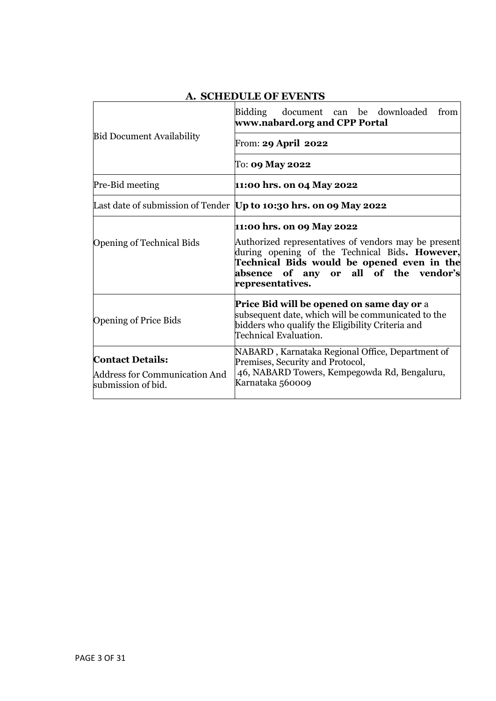|                                                                                | Bidding document can be downloaded<br>from<br>www.nabard.org and CPP Portal                                                                                                                                                                    |
|--------------------------------------------------------------------------------|------------------------------------------------------------------------------------------------------------------------------------------------------------------------------------------------------------------------------------------------|
| <b>Bid Document Availability</b>                                               | From: 29 April 2022                                                                                                                                                                                                                            |
|                                                                                | To: <b>09 May 2022</b>                                                                                                                                                                                                                         |
| <b>Pre-Bid meeting</b>                                                         | 11:00 hrs. on 04 May 2022                                                                                                                                                                                                                      |
|                                                                                | Last date of submission of Tender   Up to 10:30 hrs. on 09 May 2022                                                                                                                                                                            |
| <b>Opening of Technical Bids</b>                                               | 11:00 hrs. on 09 May 2022<br>Authorized representatives of vendors may be present<br>during opening of the Technical Bids. However,<br>Technical Bids would be opened even in the<br>absence of any or all of the vendor's<br>representatives. |
| <b>Opening of Price Bids</b>                                                   | <b>Price Bid will be opened on same day or</b> a<br>subsequent date, which will be communicated to the<br>bidders who qualify the Eligibility Criteria and<br>Technical Evaluation.                                                            |
| <b>Contact Details:</b><br>Address for Communication And<br>submission of bid. | NABARD, Karnataka Regional Office, Department of<br>Premises, Security and Protocol,<br>46, NABARD Towers, Kempegowda Rd, Bengaluru,<br>Karnataka 560009                                                                                       |

## **A. SCHEDULE OF EVENTS**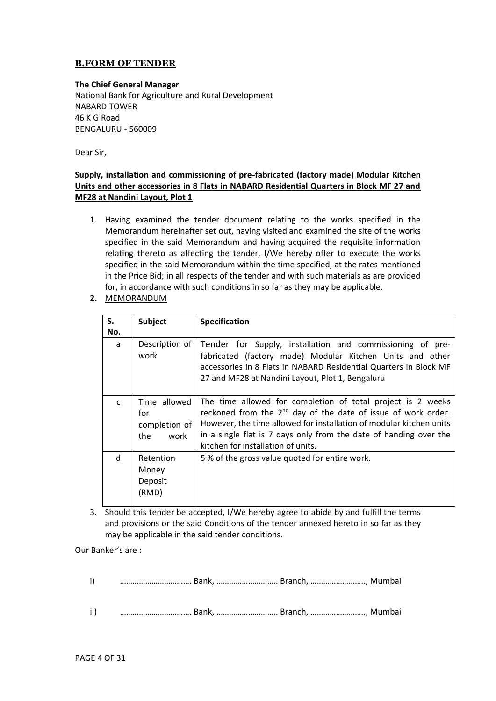## **B.FORM OF TENDER**

#### **The Chief General Manager**

National Bank for Agriculture and Rural Development NABARD TOWER 46 K G Road BENGALURU - 560009

Dear Sir,

#### **Supply, installation and commissioning of pre-fabricated (factory made) Modular Kitchen Units and other accessories in 8 Flats in NABARD Residential Quarters in Block MF 27 and MF28 at Nandini Layout, Plot 1**

- 1. Having examined the tender document relating to the works specified in the Memorandum hereinafter set out, having visited and examined the site of the works specified in the said Memorandum and having acquired the requisite information relating thereto as affecting the tender, I/We hereby offer to execute the works specified in the said Memorandum within the time specified, at the rates mentioned in the Price Bid; in all respects of the tender and with such materials as are provided for, in accordance with such conditions in so far as they may be applicable.
- **2.** MEMORANDUM

| S.<br>No.    | <b>Subject</b>                                      | <b>Specification</b>                                                                                                                                                                                                                                                                                                       |
|--------------|-----------------------------------------------------|----------------------------------------------------------------------------------------------------------------------------------------------------------------------------------------------------------------------------------------------------------------------------------------------------------------------------|
| a            | Description of<br>work                              | Tender for Supply, installation and commissioning of pre-<br>fabricated (factory made) Modular Kitchen Units and other<br>accessories in 8 Flats in NABARD Residential Quarters in Block MF<br>27 and MF28 at Nandini Layout, Plot 1, Bengaluru                                                                            |
| $\mathsf{C}$ | Time allowed<br>for<br>completion of<br>the<br>work | The time allowed for completion of total project is 2 weeks<br>reckoned from the 2 <sup>nd</sup> day of the date of issue of work order.<br>However, the time allowed for installation of modular kitchen units<br>in a single flat is 7 days only from the date of handing over the<br>kitchen for installation of units. |
| d            | Retention<br>Money<br>Deposit<br>(RMD)              | 5% of the gross value quoted for entire work.                                                                                                                                                                                                                                                                              |

3. Should this tender be accepted, I/We hereby agree to abide by and fulfill the terms and provisions or the said Conditions of the tender annexed hereto in so far as they may be applicable in the said tender conditions.

Our Banker's are :

- i) ……………………………. Bank, ……………………….. Branch, …………………….., Mumbai
- ii) ……………………………. Bank, ……………………….. Branch, …………………….., Mumbai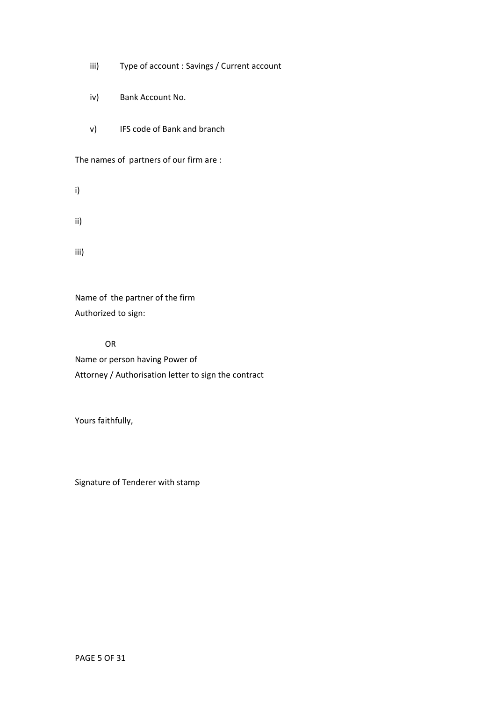- iii) Type of account : Savings / Current account
- iv) Bank Account No.
- v) IFS code of Bank and branch

The names of partners of our firm are :

i)

ii)

iii)

Name of the partner of the firm Authorized to sign:

OR Name or person having Power of Attorney / Authorisation letter to sign the contract

Yours faithfully,

Signature of Tenderer with stamp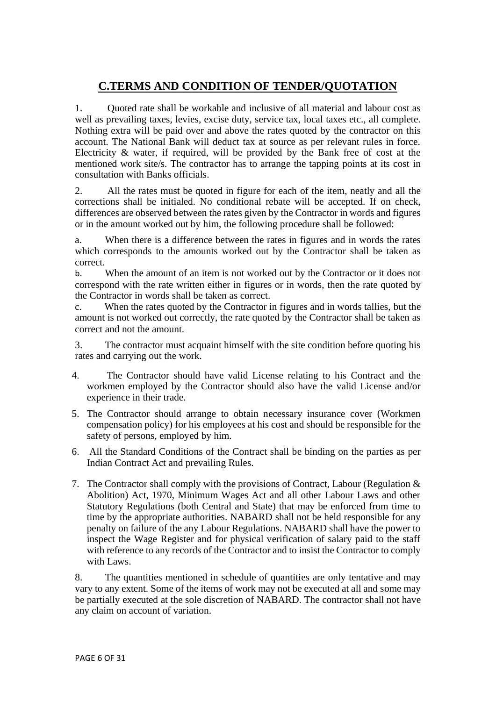## **C.TERMS AND CONDITION OF TENDER/QUOTATION**

1. Quoted rate shall be workable and inclusive of all material and labour cost as well as prevailing taxes, levies, excise duty, service tax, local taxes etc., all complete. Nothing extra will be paid over and above the rates quoted by the contractor on this account. The National Bank will deduct tax at source as per relevant rules in force. Electricity & water, if required, will be provided by the Bank free of cost at the mentioned work site/s. The contractor has to arrange the tapping points at its cost in consultation with Banks officials.

2. All the rates must be quoted in figure for each of the item, neatly and all the corrections shall be initialed. No conditional rebate will be accepted. If on check, differences are observed between the rates given by the Contractor in words and figures or in the amount worked out by him, the following procedure shall be followed:

a. When there is a difference between the rates in figures and in words the rates which corresponds to the amounts worked out by the Contractor shall be taken as correct.

b. When the amount of an item is not worked out by the Contractor or it does not correspond with the rate written either in figures or in words, then the rate quoted by the Contractor in words shall be taken as correct.

c. When the rates quoted by the Contractor in figures and in words tallies, but the amount is not worked out correctly, the rate quoted by the Contractor shall be taken as correct and not the amount.

3. The contractor must acquaint himself with the site condition before quoting his rates and carrying out the work.

- 4. The Contractor should have valid License relating to his Contract and the workmen employed by the Contractor should also have the valid License and/or experience in their trade.
- 5. The Contractor should arrange to obtain necessary insurance cover (Workmen compensation policy) for his employees at his cost and should be responsible for the safety of persons, employed by him.
- 6. All the Standard Conditions of the Contract shall be binding on the parties as per Indian Contract Act and prevailing Rules.
- 7. The Contractor shall comply with the provisions of Contract, Labour (Regulation & Abolition) Act, 1970, Minimum Wages Act and all other Labour Laws and other Statutory Regulations (both Central and State) that may be enforced from time to time by the appropriate authorities. NABARD shall not be held responsible for any penalty on failure of the any Labour Regulations. NABARD shall have the power to inspect the Wage Register and for physical verification of salary paid to the staff with reference to any records of the Contractor and to insist the Contractor to comply with Laws.

8. The quantities mentioned in schedule of quantities are only tentative and may vary to any extent. Some of the items of work may not be executed at all and some may be partially executed at the sole discretion of NABARD. The contractor shall not have any claim on account of variation.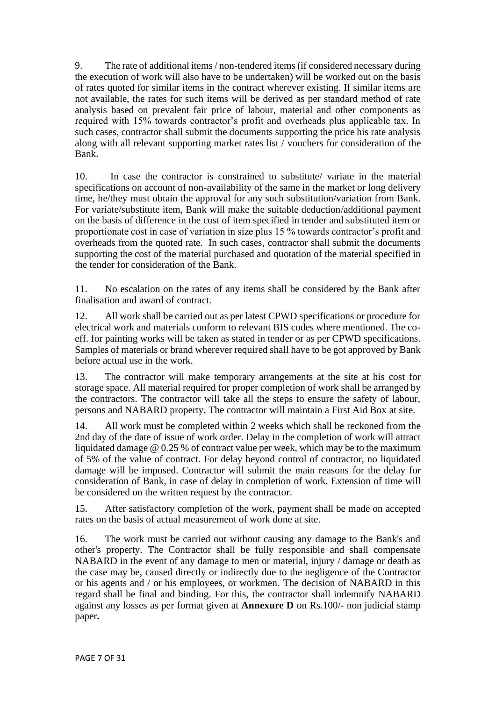9. The rate of additional items / non-tendered items (if considered necessary during the execution of work will also have to be undertaken) will be worked out on the basis of rates quoted for similar items in the contract wherever existing. If similar items are not available, the rates for such items will be derived as per standard method of rate analysis based on prevalent fair price of labour, material and other components as required with 15% towards contractor's profit and overheads plus applicable tax. In such cases, contractor shall submit the documents supporting the price his rate analysis along with all relevant supporting market rates list / vouchers for consideration of the Bank.

10. In case the contractor is constrained to substitute/ variate in the material specifications on account of non-availability of the same in the market or long delivery time, he/they must obtain the approval for any such substitution/variation from Bank. For variate/substitute item, Bank will make the suitable deduction/additional payment on the basis of difference in the cost of item specified in tender and substituted item or proportionate cost in case of variation in size plus 15 % towards contractor's profit and overheads from the quoted rate. In such cases, contractor shall submit the documents supporting the cost of the material purchased and quotation of the material specified in the tender for consideration of the Bank.

11. No escalation on the rates of any items shall be considered by the Bank after finalisation and award of contract.

12. All work shall be carried out as per latest CPWD specifications or procedure for electrical work and materials conform to relevant BIS codes where mentioned. The coeff. for painting works will be taken as stated in tender or as per CPWD specifications. Samples of materials or brand wherever required shall have to be got approved by Bank before actual use in the work.

13. The contractor will make temporary arrangements at the site at his cost for storage space. All material required for proper completion of work shall be arranged by the contractors. The contractor will take all the steps to ensure the safety of labour, persons and NABARD property. The contractor will maintain a First Aid Box at site.

14. All work must be completed within 2 weeks which shall be reckoned from the 2nd day of the date of issue of work order. Delay in the completion of work will attract liquidated damage @ 0.25 % of contract value per week, which may be to the maximum of 5% of the value of contract. For delay beyond control of contractor, no liquidated damage will be imposed. Contractor will submit the main reasons for the delay for consideration of Bank, in case of delay in completion of work. Extension of time will be considered on the written request by the contractor.

15. After satisfactory completion of the work, payment shall be made on accepted rates on the basis of actual measurement of work done at site.

16. The work must be carried out without causing any damage to the Bank's and other's property. The Contractor shall be fully responsible and shall compensate NABARD in the event of any damage to men or material, injury / damage or death as the case may be, caused directly or indirectly due to the negligence of the Contractor or his agents and / or his employees, or workmen. The decision of NABARD in this regard shall be final and binding. For this, the contractor shall indemnify NABARD against any losses as per format given at **Annexure D** on Rs.100/- non judicial stamp paper**.**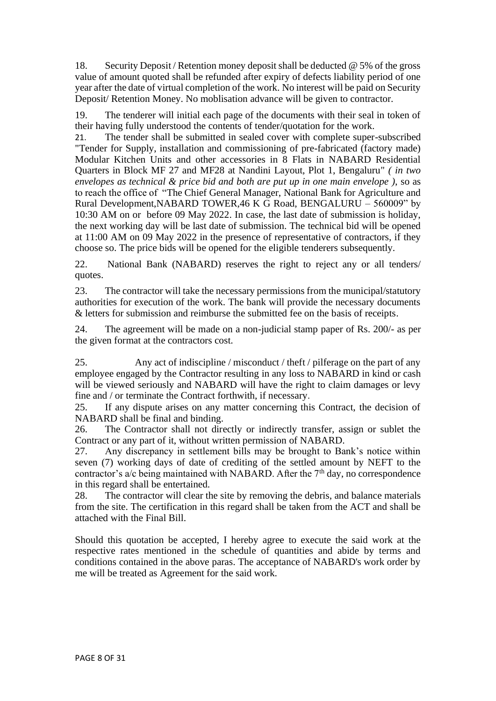18. Security Deposit / Retention money deposit shall be deducted @ 5% of the gross value of amount quoted shall be refunded after expiry of defects liability period of one year after the date of virtual completion of the work. No interest will be paid on Security Deposit/ Retention Money. No moblisation advance will be given to contractor.

19. The tenderer will initial each page of the documents with their seal in token of their having fully understood the contents of tender/quotation for the work.

21. The tender shall be submitted in sealed cover with complete super-subscribed "Tender for Supply, installation and commissioning of pre-fabricated (factory made) Modular Kitchen Units and other accessories in 8 Flats in NABARD Residential Quarters in Block MF 27 and MF28 at Nandini Layout, Plot 1, Bengaluru" *( in two envelopes as technical & price bid and both are put up in one main envelope )*, so as to reach the office of "The Chief General Manager, National Bank for Agriculture and Rural Development,NABARD TOWER,46 K G Road, BENGALURU – 560009" by 10:30 AM on or before 09 May 2022. In case, the last date of submission is holiday, the next working day will be last date of submission. The technical bid will be opened at 11:00 AM on 09 May 2022 in the presence of representative of contractors, if they choose so. The price bids will be opened for the eligible tenderers subsequently.

22. National Bank (NABARD) reserves the right to reject any or all tenders/ quotes.

23. The contractor will take the necessary permissions from the municipal/statutory authorities for execution of the work. The bank will provide the necessary documents & letters for submission and reimburse the submitted fee on the basis of receipts.

24. The agreement will be made on a non-judicial stamp paper of Rs. 200/- as per the given format at the contractors cost.

25. Any act of indiscipline / misconduct / theft / pilferage on the part of any employee engaged by the Contractor resulting in any loss to NABARD in kind or cash will be viewed seriously and NABARD will have the right to claim damages or levy fine and / or terminate the Contract forthwith, if necessary.

25. If any dispute arises on any matter concerning this Contract, the decision of NABARD shall be final and binding.

26. The Contractor shall not directly or indirectly transfer, assign or sublet the Contract or any part of it, without written permission of NABARD.

27. Any discrepancy in settlement bills may be brought to Bank's notice within seven (7) working days of date of crediting of the settled amount by NEFT to the contractor's  $a/c$  being maintained with NABARD. After the  $7<sup>th</sup>$  day, no correspondence in this regard shall be entertained.

28. The contractor will clear the site by removing the debris, and balance materials from the site. The certification in this regard shall be taken from the ACT and shall be attached with the Final Bill.

Should this quotation be accepted, I hereby agree to execute the said work at the respective rates mentioned in the schedule of quantities and abide by terms and conditions contained in the above paras. The acceptance of NABARD's work order by me will be treated as Agreement for the said work.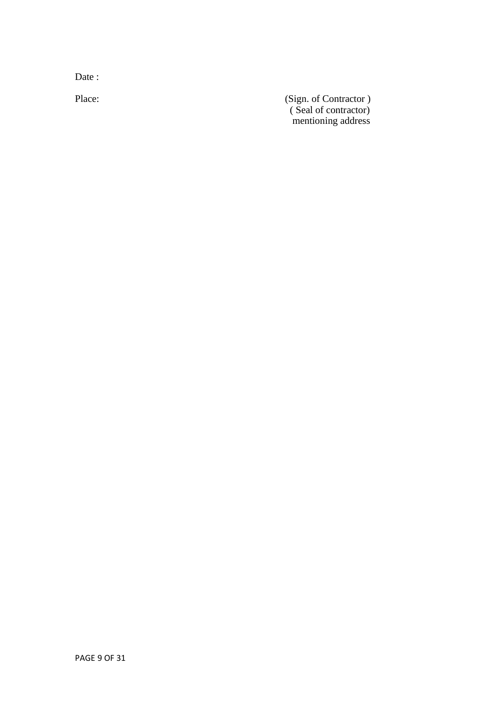Date:

Place: (Sign. of Contractor ) ( Seal of contractor) mentioning address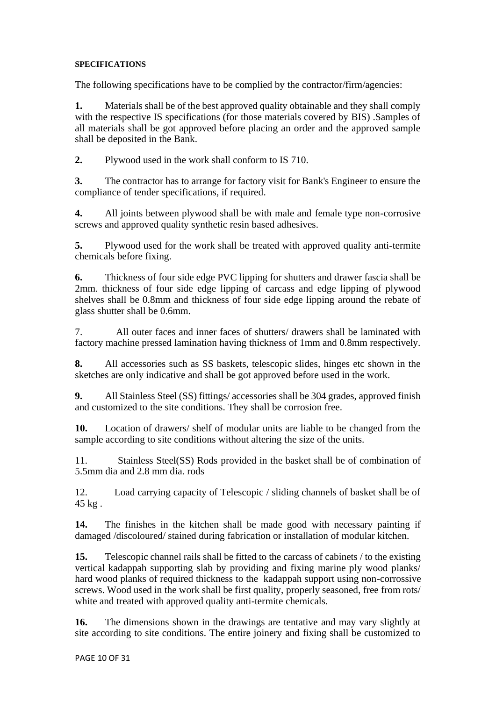#### **SPECIFICATIONS**

The following specifications have to be complied by the contractor/firm/agencies:

**1.** Materials shall be of the best approved quality obtainable and they shall comply with the respective IS specifications (for those materials covered by BIS) .Samples of all materials shall be got approved before placing an order and the approved sample shall be deposited in the Bank.

**2.** Plywood used in the work shall conform to IS 710.

**3.** The contractor has to arrange for factory visit for Bank's Engineer to ensure the compliance of tender specifications, if required.

**4.** All joints between plywood shall be with male and female type non-corrosive screws and approved quality synthetic resin based adhesives.

**5.** Plywood used for the work shall be treated with approved quality anti-termite chemicals before fixing.

**6.** Thickness of four side edge PVC lipping for shutters and drawer fascia shall be 2mm. thickness of four side edge lipping of carcass and edge lipping of plywood shelves shall be 0.8mm and thickness of four side edge lipping around the rebate of glass shutter shall be 0.6mm.

7. All outer faces and inner faces of shutters/ drawers shall be laminated with factory machine pressed lamination having thickness of 1mm and 0.8mm respectively.

**8.** All accessories such as SS baskets, telescopic slides, hinges etc shown in the sketches are only indicative and shall be got approved before used in the work.

**9.** All Stainless Steel (SS) fittings/ accessories shall be 304 grades, approved finish and customized to the site conditions. They shall be corrosion free.

**10.** Location of drawers/ shelf of modular units are liable to be changed from the sample according to site conditions without altering the size of the units.

11. Stainless Steel(SS) Rods provided in the basket shall be of combination of 5.5mm dia and 2.8 mm dia. rods

12. Load carrying capacity of Telescopic / sliding channels of basket shall be of 45 kg .

**14.** The finishes in the kitchen shall be made good with necessary painting if damaged /discoloured/ stained during fabrication or installation of modular kitchen.

**15.** Telescopic channel rails shall be fitted to the carcass of cabinets / to the existing vertical kadappah supporting slab by providing and fixing marine ply wood planks/ hard wood planks of required thickness to the kadappah support using non-corrossive screws. Wood used in the work shall be first quality, properly seasoned, free from rots/ white and treated with approved quality anti-termite chemicals.

**16.** The dimensions shown in the drawings are tentative and may vary slightly at site according to site conditions. The entire joinery and fixing shall be customized to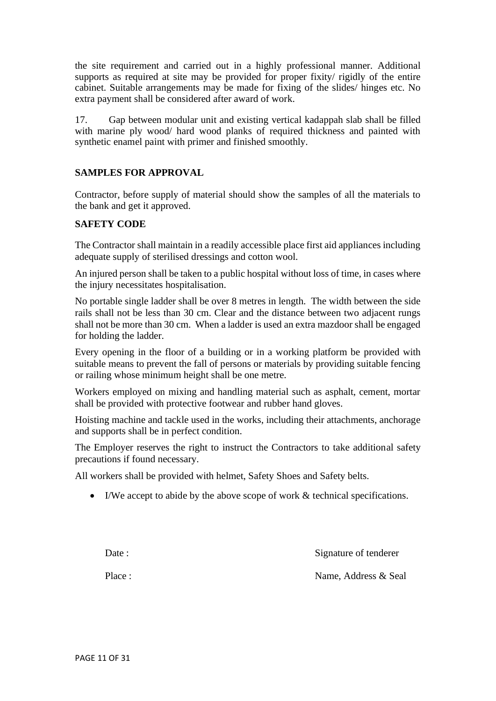the site requirement and carried out in a highly professional manner. Additional supports as required at site may be provided for proper fixity/ rigidly of the entire cabinet. Suitable arrangements may be made for fixing of the slides/ hinges etc. No extra payment shall be considered after award of work.

17. Gap between modular unit and existing vertical kadappah slab shall be filled with marine ply wood/ hard wood planks of required thickness and painted with synthetic enamel paint with primer and finished smoothly.

## **SAMPLES FOR APPROVAL**

Contractor, before supply of material should show the samples of all the materials to the bank and get it approved.

#### **SAFETY CODE**

The Contractor shall maintain in a readily accessible place first aid appliances including adequate supply of sterilised dressings and cotton wool.

An injured person shall be taken to a public hospital without loss of time, in cases where the injury necessitates hospitalisation.

No portable single ladder shall be over 8 metres in length. The width between the side rails shall not be less than 30 cm. Clear and the distance between two adjacent rungs shall not be more than 30 cm. When a ladder is used an extra mazdoor shall be engaged for holding the ladder.

Every opening in the floor of a building or in a working platform be provided with suitable means to prevent the fall of persons or materials by providing suitable fencing or railing whose minimum height shall be one metre.

Workers employed on mixing and handling material such as asphalt, cement, mortar shall be provided with protective footwear and rubber hand gloves.

Hoisting machine and tackle used in the works, including their attachments, anchorage and supports shall be in perfect condition.

The Employer reserves the right to instruct the Contractors to take additional safety precautions if found necessary.

All workers shall be provided with helmet, Safety Shoes and Safety belts.

• I/We accept to abide by the above scope of work & technical specifications.

Date : Signature of tenderer

Place : Name, Address & Seal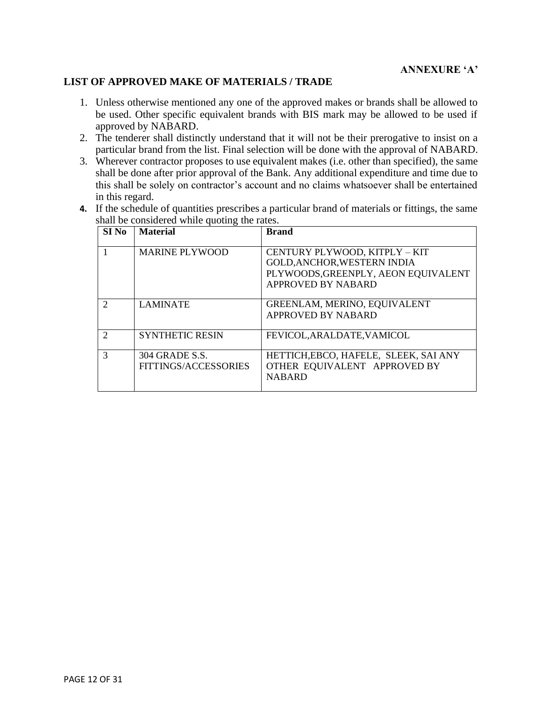#### **LIST OF APPROVED MAKE OF MATERIALS / TRADE**

- 1. Unless otherwise mentioned any one of the approved makes or brands shall be allowed to be used. Other specific equivalent brands with BIS mark may be allowed to be used if approved by NABARD.
- 2. The tenderer shall distinctly understand that it will not be their prerogative to insist on a particular brand from the list. Final selection will be done with the approval of NABARD.
- 3. Wherever contractor proposes to use equivalent makes (i.e. other than specified), the same shall be done after prior approval of the Bank. Any additional expenditure and time due to this shall be solely on contractor's account and no claims whatsoever shall be entertained in this regard.
- **4.** If the schedule of quantities prescribes a particular brand of materials or fittings, the same shall be considered while quoting the rates.

| SI <sub>No</sub> | <b>Material</b>                        | <b>Brand</b>                                                                                                              |
|------------------|----------------------------------------|---------------------------------------------------------------------------------------------------------------------------|
|                  | <b>MARINE PLYWOOD</b>                  | CENTURY PLYWOOD, KITPLY - KIT<br>GOLD, ANCHOR, WESTERN INDIA<br>PLYWOODS, GREENPLY, AEON EQUIVALENT<br>APPROVED BY NABARD |
| $\mathcal{D}$    | <b>LAMINATE</b>                        | GREENLAM, MERINO, EQUIVALENT<br><b>APPROVED BY NABARD</b>                                                                 |
| $\mathcal{D}$    | <b>SYNTHETIC RESIN</b>                 | FEVICOL, ARALDATE, VAMICOL                                                                                                |
| $\mathcal{R}$    | 304 GRADE S.S.<br>FITTINGS/ACCESSORIES | HETTICH, EBCO, HAFELE, SLEEK, SAI ANY<br>OTHER EQUIVALENT APPROVED BY<br><b>NABARD</b>                                    |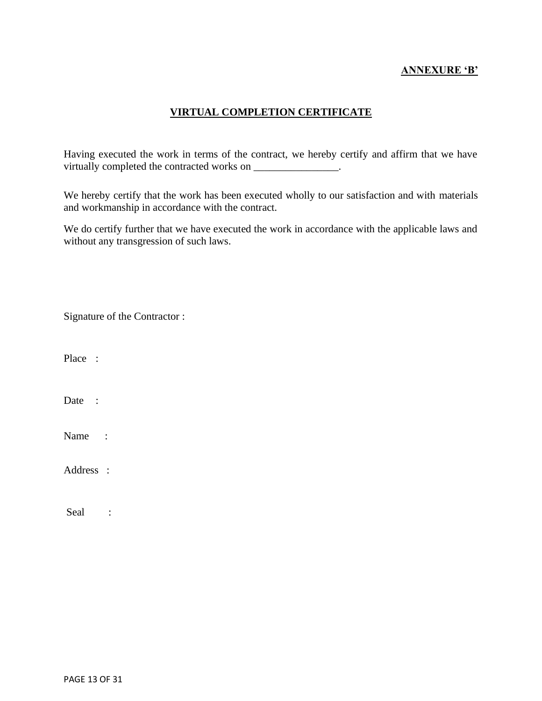## **ANNEXURE 'B'**

## **VIRTUAL COMPLETION CERTIFICATE**

Having executed the work in terms of the contract, we hereby certify and affirm that we have virtually completed the contracted works on \_\_\_\_\_\_\_\_\_\_\_\_\_\_\_.

We hereby certify that the work has been executed wholly to our satisfaction and with materials and workmanship in accordance with the contract.

We do certify further that we have executed the work in accordance with the applicable laws and without any transgression of such laws.

| Signature of the Contractor: |
|------------------------------|
|------------------------------|

Date :

Name :

Address :

Seal :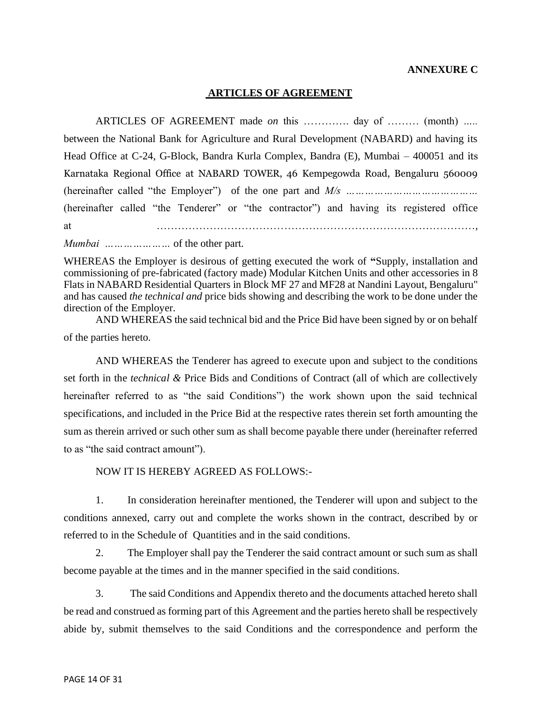#### **ANNEXURE C**

#### **ARTICLES OF AGREEMENT**

ARTICLES OF AGREEMENT made *on* this …………. day of ……… (month) *…..* between the National Bank for Agriculture and Rural Development (NABARD) and having its Head Office at C-24, G-Block, Bandra Kurla Complex, Bandra (E), Mumbai – 400051 and its Karnataka Regional Office at NABARD TOWER, 46 Kempegowda Road, Bengaluru 560009 (hereinafter called "the Employer") of the one part and *M/s ……………………………………* (hereinafter called "the Tenderer" or "the contractor") and having its registered office at ………………………………………………………………………………*,* 

*Mumbai …………………* of the other part.

WHEREAS the Employer is desirous of getting executed the work of **"**Supply, installation and commissioning of pre-fabricated (factory made) Modular Kitchen Units and other accessories in 8 Flats in NABARD Residential Quarters in Block MF 27 and MF28 at Nandini Layout, Bengaluru" and has caused *the technical and* price bids showing and describing the work to be done under the direction of the Employer.

AND WHEREAS the said technical bid and the Price Bid have been signed by or on behalf of the parties hereto.

AND WHEREAS the Tenderer has agreed to execute upon and subject to the conditions set forth in the *technical &* Price Bids and Conditions of Contract (all of which are collectively hereinafter referred to as "the said Conditions") the work shown upon the said technical specifications, and included in the Price Bid at the respective rates therein set forth amounting the sum as therein arrived or such other sum as shall become payable there under (hereinafter referred to as "the said contract amount").

NOW IT IS HEREBY AGREED AS FOLLOWS:-

1. In consideration hereinafter mentioned, the Tenderer will upon and subject to the conditions annexed, carry out and complete the works shown in the contract, described by or referred to in the Schedule of Quantities and in the said conditions.

2. The Employer shall pay the Tenderer the said contract amount or such sum as shall become payable at the times and in the manner specified in the said conditions.

3. The said Conditions and Appendix thereto and the documents attached hereto shall be read and construed as forming part of this Agreement and the parties hereto shall be respectively abide by, submit themselves to the said Conditions and the correspondence and perform the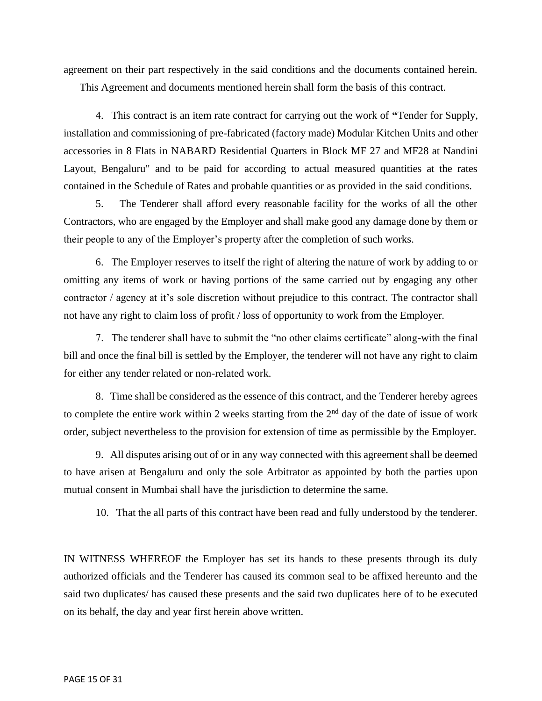agreement on their part respectively in the said conditions and the documents contained herein.

This Agreement and documents mentioned herein shall form the basis of this contract.

4. This contract is an item rate contract for carrying out the work of **"**Tender for Supply, installation and commissioning of pre-fabricated (factory made) Modular Kitchen Units and other accessories in 8 Flats in NABARD Residential Quarters in Block MF 27 and MF28 at Nandini Layout, Bengaluru" and to be paid for according to actual measured quantities at the rates contained in the Schedule of Rates and probable quantities or as provided in the said conditions.

5. The Tenderer shall afford every reasonable facility for the works of all the other Contractors, who are engaged by the Employer and shall make good any damage done by them or their people to any of the Employer's property after the completion of such works.

6. The Employer reserves to itself the right of altering the nature of work by adding to or omitting any items of work or having portions of the same carried out by engaging any other contractor / agency at it's sole discretion without prejudice to this contract. The contractor shall not have any right to claim loss of profit / loss of opportunity to work from the Employer.

7. The tenderer shall have to submit the "no other claims certificate" along-with the final bill and once the final bill is settled by the Employer, the tenderer will not have any right to claim for either any tender related or non-related work.

8. Time shall be considered as the essence of this contract, and the Tenderer hereby agrees to complete the entire work within 2 weeks starting from the  $2<sup>nd</sup>$  day of the date of issue of work order, subject nevertheless to the provision for extension of time as permissible by the Employer.

9. All disputes arising out of or in any way connected with this agreement shall be deemed to have arisen at Bengaluru and only the sole Arbitrator as appointed by both the parties upon mutual consent in Mumbai shall have the jurisdiction to determine the same.

10. That the all parts of this contract have been read and fully understood by the tenderer.

IN WITNESS WHEREOF the Employer has set its hands to these presents through its duly authorized officials and the Tenderer has caused its common seal to be affixed hereunto and the said two duplicates/ has caused these presents and the said two duplicates here of to be executed on its behalf, the day and year first herein above written.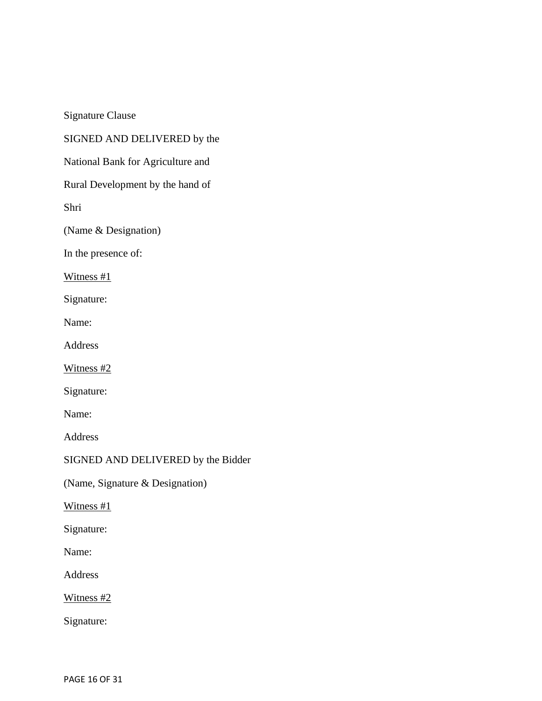Signature Clause

SIGNED AND DELIVERED by the

National Bank for Agriculture and

Rural Development by the hand of

Shri

(Name & Designation)

In the presence of:

Witness #1

Signature:

Name:

Address

Witness #2

Signature:

Name:

Address

SIGNED AND DELIVERED by the Bidder

(Name, Signature & Designation)

Witness #1

Signature:

Name:

Address

Witness #2

Signature: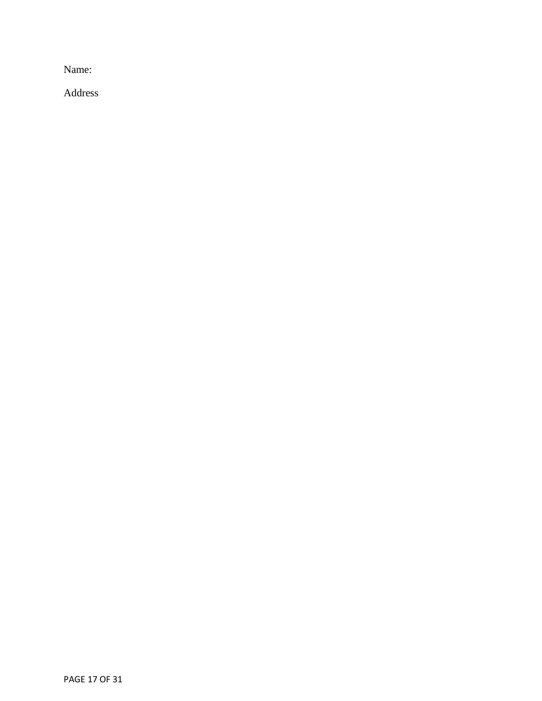Name:

Address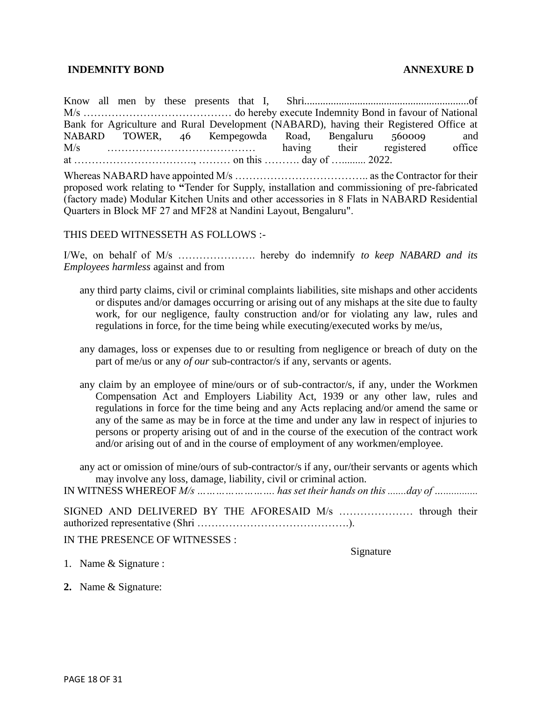#### **INDEMNITY BOND ANNEXURE D**

Know all men by these presents that I, Shri..............................................................of M/s …………………………………… do hereby execute Indemnity Bond in favour of National Bank for Agriculture and Rural Development (NABARD), having their Registered Office at NABARD TOWER, 46 Kempegowda Road, Bengaluru 560009 and M/s …………………………………… having their registered office at ……………………………., ……… on this ………. day of …......... 2022.

Whereas NABARD have appointed M/s ……………………………….. as the Contractor for their proposed work relating to **"**Tender for Supply, installation and commissioning of pre-fabricated (factory made) Modular Kitchen Units and other accessories in 8 Flats in NABARD Residential Quarters in Block MF 27 and MF28 at Nandini Layout, Bengaluru".

THIS DEED WITNESSETH AS FOLLOWS :-

I/We, on behalf of M/s …………………. hereby do indemnify *to keep NABARD and its Employees harmless* against and from

- any third party claims, civil or criminal complaints liabilities, site mishaps and other accidents or disputes and/or damages occurring or arising out of any mishaps at the site due to faulty work, for our negligence, faulty construction and/or for violating any law, rules and regulations in force, for the time being while executing/executed works by me/us,
- any damages, loss or expenses due to or resulting from negligence or breach of duty on the part of me/us or any *of our* sub-contractor/s if any, servants or agents.
- any claim by an employee of mine/ours or of sub-contractor/s, if any, under the Workmen Compensation Act and Employers Liability Act, 1939 or any other law, rules and regulations in force for the time being and any Acts replacing and/or amend the same or any of the same as may be in force at the time and under any law in respect of injuries to persons or property arising out of and in the course of the execution of the contract work and/or arising out of and in the course of employment of any workmen/employee.

any act or omission of mine/ours of sub-contractor/s if any, our/their servants or agents which may involve any loss, damage, liability, civil or criminal action.

IN WITNESS WHEREOF *M/s ……………………. has set their hands on this .......day of ….............*

SIGNED AND DELIVERED BY THE AFORESAID M/s ………………… through their authorized representative (Shri …………………………………….).

IN THE PRESENCE OF WITNESSES :

Signature

- 1. Name & Signature :
- **2.** Name & Signature: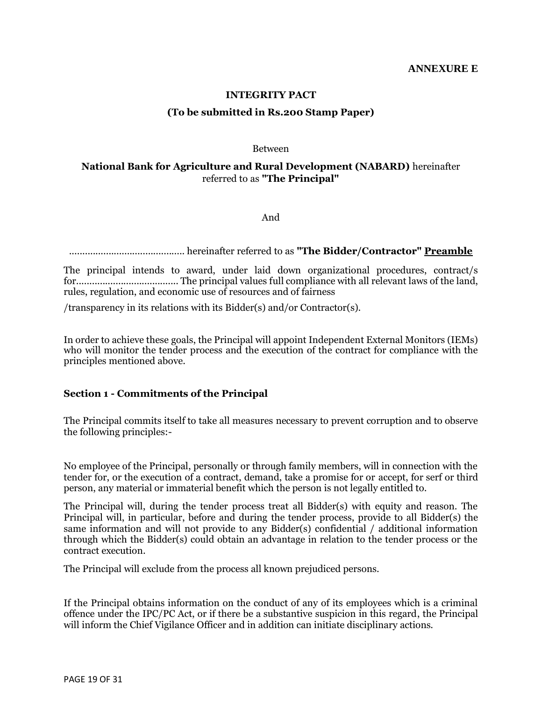#### **INTEGRITY PACT**

#### **(To be submitted in Rs.200 Stamp Paper)**

#### Between

#### **National Bank for Agriculture and Rural Development (NABARD)** hereinafter referred to as **"The Principal"**

And

............................................ hereinafter referred to as **"The Bidder/Contractor" Preamble**

The principal intends to award, under laid down organizational procedures, contract/s for....................................... The principal values full compliance with all relevant laws of the land, rules, regulation, and economic use of resources and of fairness

/transparency in its relations with its Bidder(s) and/or Contractor(s).

In order to achieve these goals, the Principal will appoint Independent External Monitors (IEMs) who will monitor the tender process and the execution of the contract for compliance with the principles mentioned above.

#### **Section 1 - Commitments of the Principal**

The Principal commits itself to take all measures necessary to prevent corruption and to observe the following principles:-

No employee of the Principal, personally or through family members, will in connection with the tender for, or the execution of a contract, demand, take a promise for or accept, for serf or third person, any material or immaterial benefit which the person is not legally entitled to.

The Principal will, during the tender process treat all Bidder(s) with equity and reason. The Principal will, in particular, before and during the tender process, provide to all Bidder(s) the same information and will not provide to any Bidder(s) confidential / additional information through which the Bidder(s) could obtain an advantage in relation to the tender process or the contract execution.

The Principal will exclude from the process all known prejudiced persons.

If the Principal obtains information on the conduct of any of its employees which is a criminal offence under the IPC/PC Act, or if there be a substantive suspicion in this regard, the Principal will inform the Chief Vigilance Officer and in addition can initiate disciplinary actions.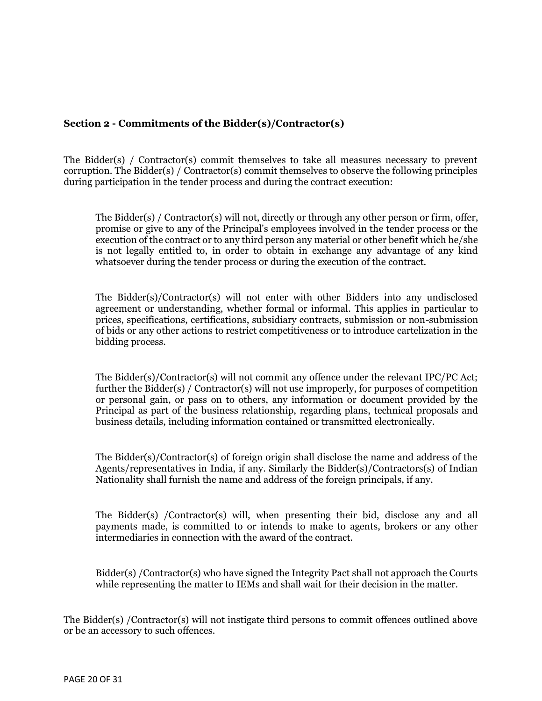#### **Section 2 - Commitments of the Bidder(s)/Contractor(s)**

The Bidder(s) / Contractor(s) commit themselves to take all measures necessary to prevent corruption. The Bidder(s) / Contractor(s) commit themselves to observe the following principles during participation in the tender process and during the contract execution:

The Bidder(s) / Contractor(s) will not, directly or through any other person or firm, offer, promise or give to any of the Principal's employees involved in the tender process or the execution of the contract or to any third person any material or other benefit which he/she is not legally entitled to, in order to obtain in exchange any advantage of any kind whatsoever during the tender process or during the execution of the contract.

The Bidder(s)/Contractor(s) will not enter with other Bidders into any undisclosed agreement or understanding, whether formal or informal. This applies in particular to prices, specifications, certifications, subsidiary contracts, submission or non-submission of bids or any other actions to restrict competitiveness or to introduce cartelization in the bidding process.

The Bidder(s)/Contractor(s) will not commit any offence under the relevant IPC/PC Act; further the Bidder(s) / Contractor(s) will not use improperly, for purposes of competition or personal gain, or pass on to others, any information or document provided by the Principal as part of the business relationship, regarding plans, technical proposals and business details, including information contained or transmitted electronically.

The Bidder(s)/Contractor(s) of foreign origin shall disclose the name and address of the Agents/representatives in India, if any. Similarly the Bidder(s)/Contractors(s) of Indian Nationality shall furnish the name and address of the foreign principals, if any.

The Bidder(s) /Contractor(s) will, when presenting their bid, disclose any and all payments made, is committed to or intends to make to agents, brokers or any other intermediaries in connection with the award of the contract.

Bidder(s) /Contractor(s) who have signed the Integrity Pact shall not approach the Courts while representing the matter to IEMs and shall wait for their decision in the matter.

The Bidder(s) /Contractor(s) will not instigate third persons to commit offences outlined above or be an accessory to such offences.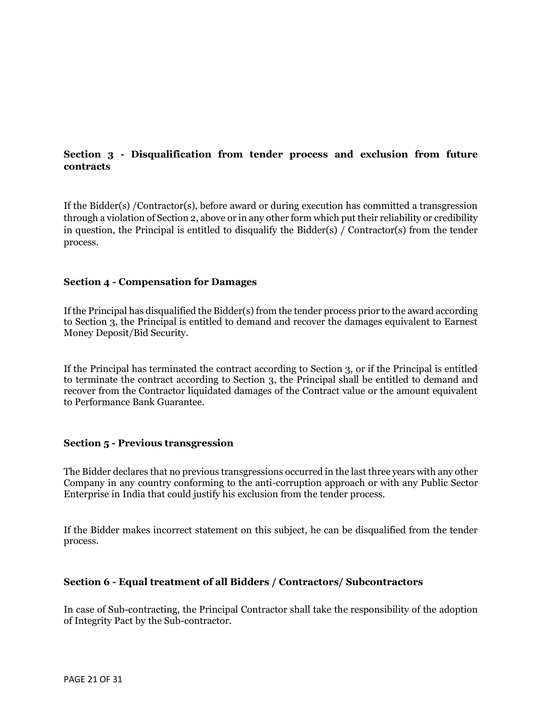## **Section 3 - Disqualification from tender process and exclusion from future contracts**

If the Bidder(s) /Contractor(s), before award or during execution has committed a transgression through a violation of Section 2, above or in any other form which put their reliability or credibility in question, the Principal is entitled to disqualify the Bidder(s) / Contractor(s) from the tender process.

#### **Section 4 - Compensation for Damages**

If the Principal has disqualified the Bidder(s) from the tender process prior to the award according to Section 3, the Principal is entitled to demand and recover the damages equivalent to Earnest Money Deposit/Bid Security.

If the Principal has terminated the contract according to Section 3, or if the Principal is entitled to terminate the contract according to Section 3, the Principal shall be entitled to demand and recover from the Contractor liquidated damages of the Contract value or the amount equivalent to Performance Bank Guarantee.

#### **Section 5 - Previous transgression**

The Bidder declares that no previous transgressions occurred in the last three years with any other Company in any country conforming to the anti-corruption approach or with any Public Sector Enterprise in India that could justify his exclusion from the tender process.

If the Bidder makes incorrect statement on this subject, he can be disqualified from the tender process.

#### **Section 6 - Equal treatment of all Bidders / Contractors/ Subcontractors**

In case of Sub-contracting, the Principal Contractor shall take the responsibility of the adoption of Integrity Pact by the Sub-contractor.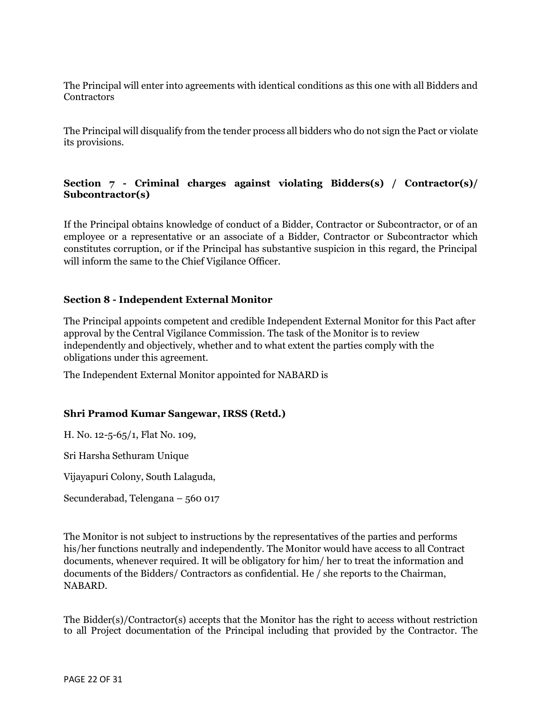The Principal will enter into agreements with identical conditions as this one with all Bidders and **Contractors** 

The Principal will disqualify from the tender process all bidders who do not sign the Pact or violate its provisions.

## **Section 7 - Criminal charges against violating Bidders(s) / Contractor(s)/ Subcontractor(s)**

If the Principal obtains knowledge of conduct of a Bidder, Contractor or Subcontractor, or of an employee or a representative or an associate of a Bidder, Contractor or Subcontractor which constitutes corruption, or if the Principal has substantive suspicion in this regard, the Principal will inform the same to the Chief Vigilance Officer.

## **Section 8 - Independent External Monitor**

The Principal appoints competent and credible Independent External Monitor for this Pact after approval by the Central Vigilance Commission. The task of the Monitor is to review independently and objectively, whether and to what extent the parties comply with the obligations under this agreement.

The Independent External Monitor appointed for NABARD is

## **Shri Pramod Kumar Sangewar, IRSS (Retd.)**

H. No. 12-5-65/1, Flat No. 109,

Sri Harsha Sethuram Unique

Vijayapuri Colony, South Lalaguda,

Secunderabad, Telengana – 560 017

The Monitor is not subject to instructions by the representatives of the parties and performs his/her functions neutrally and independently. The Monitor would have access to all Contract documents, whenever required. It will be obligatory for him/ her to treat the information and documents of the Bidders/ Contractors as confidential. He / she reports to the Chairman, NABARD.

The Bidder(s)/Contractor(s) accepts that the Monitor has the right to access without restriction to all Project documentation of the Principal including that provided by the Contractor. The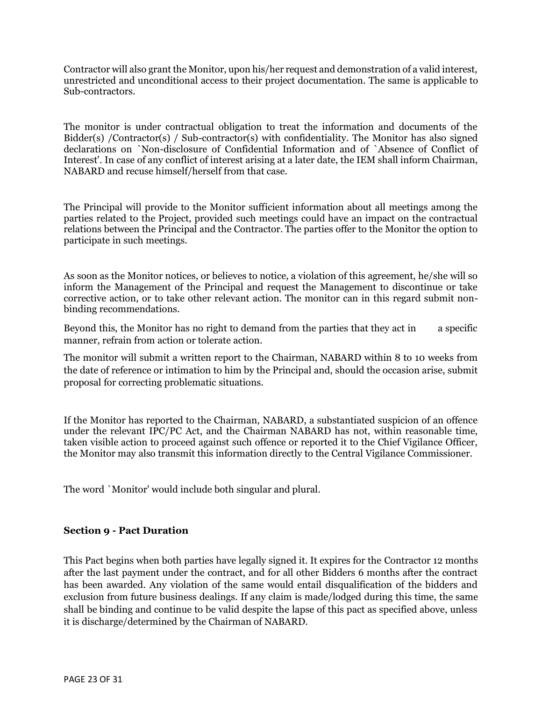Contractor will also grant the Monitor, upon his/her request and demonstration of a valid interest, unrestricted and unconditional access to their project documentation. The same is applicable to Sub-contractors.

The monitor is under contractual obligation to treat the information and documents of the Bidder(s) /Contractor(s) / Sub-contractor(s) with confidentiality. The Monitor has also signed declarations on `Non-disclosure of Confidential Information and of `Absence of Conflict of Interest'. In case of any conflict of interest arising at a later date, the IEM shall inform Chairman, NABARD and recuse himself/herself from that case.

The Principal will provide to the Monitor sufficient information about all meetings among the parties related to the Project, provided such meetings could have an impact on the contractual relations between the Principal and the Contractor. The parties offer to the Monitor the option to participate in such meetings.

As soon as the Monitor notices, or believes to notice, a violation of this agreement, he/she will so inform the Management of the Principal and request the Management to discontinue or take corrective action, or to take other relevant action. The monitor can in this regard submit nonbinding recommendations.

Beyond this, the Monitor has no right to demand from the parties that they act in a specific manner, refrain from action or tolerate action.

The monitor will submit a written report to the Chairman, NABARD within 8 to 10 weeks from the date of reference or intimation to him by the Principal and, should the occasion arise, submit proposal for correcting problematic situations.

If the Monitor has reported to the Chairman, NABARD, a substantiated suspicion of an offence under the relevant IPC/PC Act, and the Chairman NABARD has not, within reasonable time, taken visible action to proceed against such offence or reported it to the Chief Vigilance Officer, the Monitor may also transmit this information directly to the Central Vigilance Commissioner.

The word `Monitor' would include both singular and plural.

#### **Section 9 - Pact Duration**

This Pact begins when both parties have legally signed it. It expires for the Contractor 12 months after the last payment under the contract, and for all other Bidders 6 months after the contract has been awarded. Any violation of the same would entail disqualification of the bidders and exclusion from future business dealings. If any claim is made/lodged during this time, the same shall be binding and continue to be valid despite the lapse of this pact as specified above, unless it is discharge/determined by the Chairman of NABARD.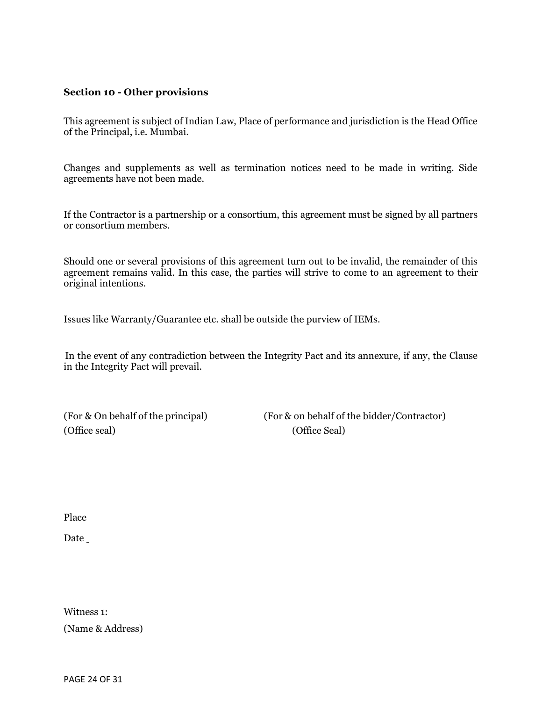#### **Section 10 - Other provisions**

This agreement is subject of Indian Law, Place of performance and jurisdiction is the Head Office of the Principal, i.e. Mumbai.

Changes and supplements as well as termination notices need to be made in writing. Side agreements have not been made.

If the Contractor is a partnership or a consortium, this agreement must be signed by all partners or consortium members.

Should one or several provisions of this agreement turn out to be invalid, the remainder of this agreement remains valid. In this case, the parties will strive to come to an agreement to their original intentions.

Issues like Warranty/Guarantee etc. shall be outside the purview of IEMs.

In the event of any contradiction between the Integrity Pact and its annexure, if any, the Clause in the Integrity Pact will prevail.

(Office seal) (Office Seal)

(For & On behalf of the principal) (For & on behalf of the bidder/Contractor)

Place

Date

Witness 1: (Name & Address)

PAGE 24 OF 31